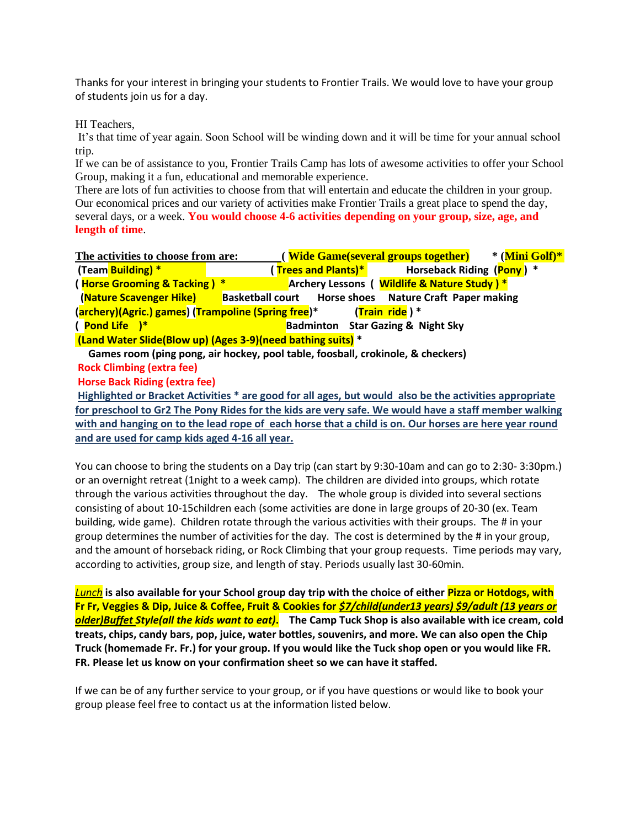Thanks for your interest in bringing your students to Frontier Trails. We would love to have your group of students join us for a day.

HI Teachers,

It's that time of year again. Soon School will be winding down and it will be time for your annual school trip.

If we can be of assistance to you, Frontier Trails Camp has lots of awesome activities to offer your School Group, making it a fun, educational and memorable experience.

There are lots of fun activities to choose from that will entertain and educate the children in your group. Our economical prices and our variety of activities make Frontier Trails a great place to spend the day, several days, or a week. **You would choose 4-6 activities depending on your group, size, age, and length of time**.

| The activities to choose from are:                                              |                         | (Wide Game(several groups together)      |  | * (Mini Golf)*                                |  |
|---------------------------------------------------------------------------------|-------------------------|------------------------------------------|--|-----------------------------------------------|--|
| (Team Building) *                                                               |                         | ( Trees and Plants)*                     |  | Horseback Riding (Pony) *                     |  |
| (Horse Grooming & Tacking) *                                                    |                         |                                          |  | Archery Lessons ( Wildlife & Nature Study ) * |  |
| (Nature Scavenger Hike)                                                         | <b>Basketball court</b> |                                          |  | Horse shoes Nature Craft Paper making         |  |
| (Train ride) *<br>(archery)(Agric.) games) (Trampoline (Spring free)*           |                         |                                          |  |                                               |  |
| $($ Pond Life $)*$                                                              |                         | <b>Badminton</b> Star Gazing & Night Sky |  |                                               |  |
| (Land Water Slide(Blow up) (Ages 3-9)(need bathing suits) *                     |                         |                                          |  |                                               |  |
| Games room (ping pong, air hockey, pool table, foosball, crokinole, & checkers) |                         |                                          |  |                                               |  |
|                                                                                 |                         |                                          |  |                                               |  |

**Rock Climbing (extra fee)**

**Horse Back Riding (extra fee)** 

**Highlighted or Bracket Activities \* are good for all ages, but would also be the activities appropriate for preschool to Gr2 The Pony Rides for the kids are very safe. We would have a staff member walking with and hanging on to the lead rope of each horse that a child is on. Our horses are here year round and are used for camp kids aged 4-16 all year.**

You can choose to bring the students on a Day trip (can start by 9:30-10am and can go to 2:30- 3:30pm.) or an overnight retreat (1night to a week camp). The children are divided into groups, which rotate through the various activities throughout the day. The whole group is divided into several sections consisting of about 10-15children each (some activities are done in large groups of 20-30 (ex. Team building, wide game). Children rotate through the various activities with their groups. The # in your group determines the number of activities for the day. The cost is determined by the # in your group, and the amount of horseback riding, or Rock Climbing that your group requests. Time periods may vary, according to activities, group size, and length of stay. Periods usually last 30-60min.

*Lunch* **is also available for your School group day trip with the choice of either Pizza or Hotdogs, with Fr Fr, Veggies & Dip, Juice & Coffee, Fruit & Cookies for** *\$7/child(under13 years) \$9/adult (13 years or older)Buffet Style(all the kids want to eat)***. The Camp Tuck Shop is also available with ice cream, cold treats, chips, candy bars, pop, juice, water bottles, souvenirs, and more. We can also open the Chip Truck (homemade Fr. Fr.) for your group. If you would like the Tuck shop open or you would like FR. FR. Please let us know on your confirmation sheet so we can have it staffed.** 

If we can be of any further service to your group, or if you have questions or would like to book your group please feel free to contact us at the information listed below.